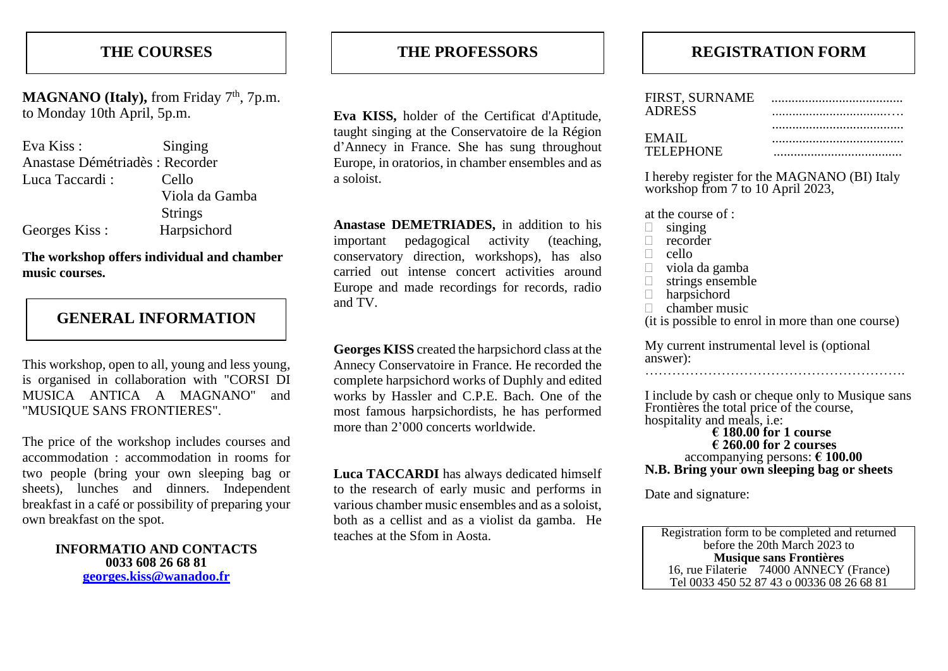# **THE COURSES**

MAGNANO (Italy), from Friday 7<sup>th</sup>, 7p.m. to Monday 10th April, 5p.m.

| Eva Kiss:                       | Singing        |
|---------------------------------|----------------|
| Anastase Démétriadès : Recorder |                |
| Luca Taccardi:                  | Cello          |
|                                 | Viola da Gamba |
|                                 | <b>Strings</b> |
| Georges Kiss:                   | Harpsichord    |

**The workshop offers individual and chamber music courses.**

## **GENERAL INFORMATION**

This workshop, open to all, young and less young, is organised in collaboration with "CORSI DI MUSICA ANTICA A MAGNANO" and "MUSIQUE SANS FRONTIERES".

The price of the workshop includes courses and accommodation : accommodation in rooms for two people (bring your own sleeping bag or sheets), lunches and dinners. Independent breakfast in a café or possibility of preparing your own breakfast on the spot.

> **INFORMATIO AND CONTACTS 0033 608 26 68 81 [georges.kiss@wanadoo.fr](mailto:georges.kiss@wanadoo.fr)**

### **THE PROFESSORS**

**Eva KISS,** holder of the Certificat d'Aptitude, taught singing at the Conservatoire de la Région d'Annecy in France. She has sung throughout Europe, in oratorios, in chamber ensembles and as a soloist.

**Anastase DEMETRIADES,** in addition to his important pedagogical activity (teaching, conservatory direction, workshops), has also carried out intense concert activities around Europe and made recordings for records, radio and TV.

**Georges KISS** created the harpsichord class at the Annecy Conservatoire in France. He recorded the complete harpsichord works of Duphly and edited works by Hassler and C.P.E. Bach. One of the most famous harpsichordists, he has performed more than 2'000 concerts worldwide.

**Luca TACCARDI** has always dedicated himself to the research of early music and performs in various chamber music ensembles and as a soloist, both as a cellist and as a violist da gamba. He teaches at the Sfom in Aosta.

# **REGISTRATION FORM**

| <b>ADRESS</b> |  |
|---------------|--|
|               |  |
| <b>EMAIL</b>  |  |
| TELEPHONE     |  |

I hereby register for the MAGNANO (BI) Italy workshop from 7 to 10 April 2023,

at the course of :

- $\Box$  singing
- $\Box$  recorder
- $\Box$  cello
- viola da gamba
- $\Box$  strings ensemble
- harpsichord
- $\Box$  chamber music

(it is possible to enrol in more than one course)

My current instrumental level is (optional answer):

………………………………………………….

I include by cash or cheque only to Musique sans Frontières the total price of the course, hospitality and meals, i.e:

#### **€ 180.00 for 1 course € 260.00 for 2 courses** accompanying persons: **€ 100.00 N.B. Bring your own sleeping bag or sheets**

Date and signature:

Registration form to be completed and returned before the 20th March 2023 to **Musique sans Frontières** 16, rue Filaterie 74000 ANNECY (France) Tel 0033 450 52 87 43 o 00336 08 26 68 81